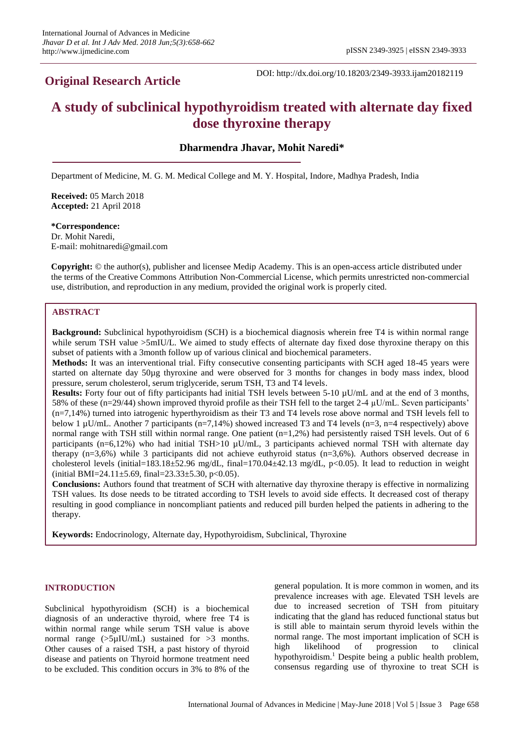## **Original Research Article**

DOI: http://dx.doi.org/10.18203/2349-3933.ijam20182119

# **A study of subclinical hypothyroidism treated with alternate day fixed dose thyroxine therapy**

## **Dharmendra Jhavar, Mohit Naredi\***

Department of Medicine, M. G. M. Medical College and M. Y. Hospital, Indore, Madhya Pradesh, India

**Received:** 05 March 2018 **Accepted:** 21 April 2018

#### **\*Correspondence:** Dr. Mohit Naredi, E-mail: mohitnaredi@gmail.com

**Copyright:** © the author(s), publisher and licensee Medip Academy. This is an open-access article distributed under the terms of the Creative Commons Attribution Non-Commercial License, which permits unrestricted non-commercial use, distribution, and reproduction in any medium, provided the original work is properly cited.

## **ABSTRACT**

**Background:** Subclinical hypothyroidism (SCH) is a biochemical diagnosis wherein free T4 is within normal range while serum TSH value  $>5$ mIU/L. We aimed to study effects of alternate day fixed dose thyroxine therapy on this subset of patients with a 3month follow up of various clinical and biochemical parameters.

**Methods:** It was an interventional trial. Fifty consecutive consenting participants with SCH aged 18-45 years were started on alternate day 50µg thyroxine and were observed for 3 months for changes in body mass index, blood pressure, serum cholesterol, serum triglyceride, serum TSH, T3 and T4 levels.

**Results:** Forty four out of fifty participants had initial TSH levels between 5-10 µU/mL and at the end of 3 months, 58% of these (n=29/44) shown improved thyroid profile as their TSH fell to the target 2-4 µU/mL. Seven participants' (n=7,14%) turned into iatrogenic hyperthyroidism as their T3 and T4 levels rose above normal and TSH levels fell to below 1 µU/mL. Another 7 participants (n=7,14%) showed increased T3 and T4 levels (n=3, n=4 respectively) above normal range with TSH still within normal range. One patient (n=1,2%) had persistently raised TSH levels. Out of 6 participants (n=6,12%) who had initial TSH>10  $\mu$ U/mL, 3 participants achieved normal TSH with alternate day therapy (n=3,6%) while 3 participants did not achieve euthyroid status (n=3,6%). Authors observed decrease in cholesterol levels (initial=183.18 $\pm$ 52.96 mg/dL, final=170.04 $\pm$ 42.13 mg/dL, p<0.05). It lead to reduction in weight  $(i$ nitial BMI=24.11±5.69, final=23.33±5.30, p<0.05).

**Conclusions:** Authors found that treatment of SCH with alternative day thyroxine therapy is effective in normalizing TSH values. Its dose needs to be titrated according to TSH levels to avoid side effects. It decreased cost of therapy resulting in good compliance in noncompliant patients and reduced pill burden helped the patients in adhering to the therapy.

**Keywords:** Endocrinology, Alternate day, Hypothyroidism, Subclinical, Thyroxine

## **INTRODUCTION**

Subclinical hypothyroidism (SCH) is a biochemical diagnosis of an underactive thyroid, where free T4 is within normal range while serum TSH value is above normal range  $(5\mu$ IU/mL) sustained for  $>3$  months. Other causes of a raised TSH, a past history of thyroid disease and patients on Thyroid hormone treatment need to be excluded. This condition occurs in 3% to 8% of the general population. It is more common in women, and its prevalence increases with age. Elevated TSH levels are due to increased secretion of TSH from pituitary indicating that the gland has reduced functional status but is still able to maintain serum thyroid levels within the normal range. The most important implication of SCH is high likelihood of progression to clinical hypothyroidism.<sup>1</sup> Despite being a public health problem, consensus regarding use of thyroxine to treat SCH is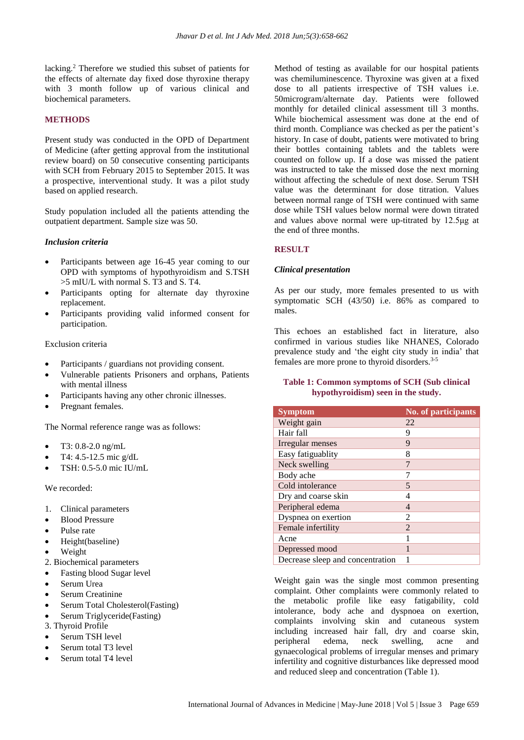lacking.<sup>2</sup> Therefore we studied this subset of patients for the effects of alternate day fixed dose thyroxine therapy with 3 month follow up of various clinical and biochemical parameters.

## **METHODS**

Present study was conducted in the OPD of Department of Medicine (after getting approval from the institutional review board) on 50 consecutive consenting participants with SCH from February 2015 to September 2015. It was a prospective, interventional study. It was a pilot study based on applied research.

Study population included all the patients attending the outpatient department. Sample size was 50.

#### *Inclusion criteria*

- Participants between age 16-45 year coming to our OPD with symptoms of hypothyroidism and S.TSH >5 mIU/L with normal S. T3 and S. T4.
- Participants opting for alternate day thyroxine replacement.
- Participants providing valid informed consent for participation.

#### Exclusion criteria

- Participants / guardians not providing consent.
- Vulnerable patients Prisoners and orphans, Patients with mental illness
- Participants having any other chronic illnesses.
- Pregnant females.

The Normal reference range was as follows:

- T3: 0.8-2.0 ng/mL
- T4: 4.5-12.5 mic g/dL
- TSH: 0.5-5.0 mic IU/mL

We recorded:

- 1. Clinical parameters
- Blood Pressure
- Pulse rate
- Height(baseline)
- Weight
- 2. Biochemical parameters
- Fasting blood Sugar level
- Serum Urea
- Serum Creatinine
- Serum Total Cholesterol(Fasting)
- Serum Triglyceride(Fasting)

3. Thyroid Profile

- Serum TSH level
- Serum total T3 level
- Serum total T4 level

Method of testing as available for our hospital patients was chemiluminescence. Thyroxine was given at a fixed dose to all patients irrespective of TSH values i.e. 50microgram/alternate day. Patients were followed monthly for detailed clinical assessment till 3 months. While biochemical assessment was done at the end of third month. Compliance was checked as per the patient's history. In case of doubt, patients were motivated to bring their bottles containing tablets and the tablets were counted on follow up. If a dose was missed the patient was instructed to take the missed dose the next morning without affecting the schedule of next dose. Serum TSH value was the determinant for dose titration. Values between normal range of TSH were continued with same dose while TSH values below normal were down titrated and values above normal were up-titrated by 12.5μg at the end of three months.

## **RESULT**

#### *Clinical presentation*

As per our study, more females presented to us with symptomatic SCH (43/50) i.e. 86% as compared to males.

This echoes an established fact in literature, also confirmed in various studies like NHANES, Colorado prevalence study and 'the eight city study in india' that females are more prone to thyroid disorders.<sup>3-5</sup>

### **Table 1: Common symptoms of SCH (Sub clinical hypothyroidism) seen in the study.**

| <b>Symptom</b>                   | <b>No. of participants</b> |
|----------------------------------|----------------------------|
| Weight gain                      | 22                         |
| Hair fall                        | 9                          |
| Irregular menses                 | 9                          |
| Easy fatiguablity                | 8                          |
| Neck swelling                    | 7                          |
| Body ache                        | 7                          |
| Cold intolerance                 | 5                          |
| Dry and coarse skin              | 4                          |
| Peripheral edema                 | 4                          |
| Dyspnea on exertion              | $\mathfrak{D}$             |
| Female infertility               | $\mathfrak{D}$             |
| Acne                             | 1                          |
| Depressed mood                   |                            |
| Decrease sleep and concentration |                            |

Weight gain was the single most common presenting complaint. Other complaints were commonly related to the metabolic profile like easy fatigability, cold intolerance, body ache and dyspnoea on exertion, complaints involving skin and cutaneous system including increased hair fall, dry and coarse skin, peripheral edema, neck swelling, acne and gynaecological problems of irregular menses and primary infertility and cognitive disturbances like depressed mood and reduced sleep and concentration (Table 1).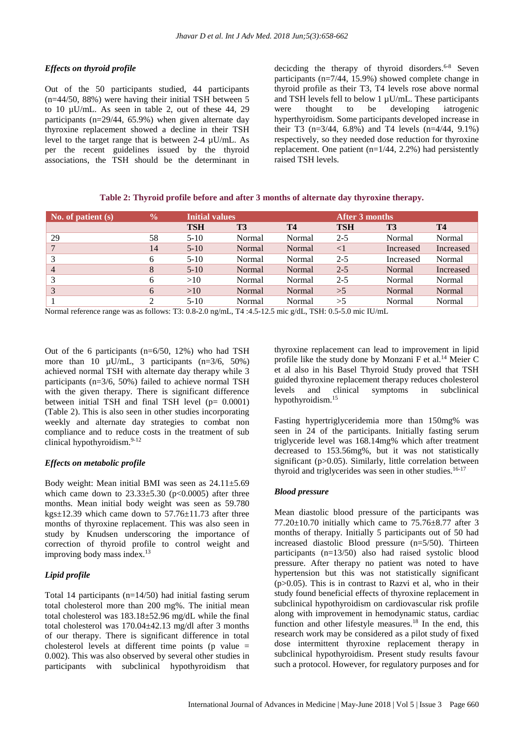## *Effects on thyroid profile*

Out of the 50 participants studied, 44 participants (n=44/50, 88%) were having their initial TSH between 5 to 10 µU/mL. As seen in table 2, out of these 44, 29 participants (n=29/44, 65.9%) when given alternate day thyroxine replacement showed a decline in their TSH level to the target range that is between 2-4 µU/mL. As per the recent guidelines issued by the thyroid associations, the TSH should be the determinant in decicding the therapy of thyroid disorders.<sup>6-8</sup> Seven participants (n=7/44, 15.9%) showed complete change in thyroid profile as their T3, T4 levels rose above normal and TSH levels fell to below 1  $\mu$ U/mL. These participants were thought to be developing iatrogenic hyperthyroidism. Some participants developed increase in their T3 (n=3/44, 6.8%) and T4 levels (n=4/44, 9.1%) respectively, so they needed dose reduction for thyroxine replacement. One patient (n=1/44, 2.2%) had persistently raised TSH levels.

| Table 2: Thyroid profile before and after 3 months of alternate day thyroxine therapy. |  |  |  |
|----------------------------------------------------------------------------------------|--|--|--|
|----------------------------------------------------------------------------------------|--|--|--|

| $\sqrt{\text{No. of patient}}$ (s) | $\frac{0}{0}$ |            | <b>Initial values</b> |           |            | After 3 months |           |  |
|------------------------------------|---------------|------------|-----------------------|-----------|------------|----------------|-----------|--|
|                                    |               | <b>TSH</b> | <b>T3</b>             | <b>T4</b> | <b>TSH</b> | T <sub>3</sub> | <b>T4</b> |  |
| 29                                 | 58            | $5-10$     | Normal                | Normal    | $2 - 5$    | Normal         | Normal    |  |
|                                    | 14            | $5-10$     | Normal                | Normal    | $\leq$ 1   | Increased      | Increased |  |
| 3                                  | 6             | $5-10$     | Normal                | Normal    | $2 - 5$    | Increased      | Normal    |  |
| $\overline{4}$                     | 8             | $5-10$     | Normal                | Normal    | $2 - 5$    | Normal         | Increased |  |
| 3                                  | 6             | >10        | Normal                | Normal    | $2 - 5$    | Normal         | Normal    |  |
| 3                                  | 6             | >10        | Normal                | Normal    | >5         | Normal         | Normal    |  |
|                                    | 2             | $5 - 10$   | Normal                | Normal    | >5         | Normal         | Normal    |  |

Normal reference range was as follows: T3: 0.8-2.0 ng/mL, T4 :4.5-12.5 mic g/dL, TSH: 0.5-5.0 mic IU/mL

Out of the 6 participants (n=6/50, 12%) who had TSH more than 10  $\mu$ U/mL, 3 participants (n=3/6, 50%) achieved normal TSH with alternate day therapy while 3 participants ( $n=3/6$ , 50%) failed to achieve normal TSH with the given therapy. There is significant difference between initial TSH and final TSH level  $(p= 0.0001)$ (Table 2). This is also seen in other studies incorporating weekly and alternate day strategies to combat non compliance and to reduce costs in the treatment of sub clinical hypothyroidism.9-12

## *Effects on metabolic profile*

Body weight: Mean initial BMI was seen as  $24.11 \pm 5.69$ which came down to  $23.33\pm5.30$  (p<0.0005) after three months. Mean initial body weight was seen as 59.780 kgs±12.39 which came down to 57.76±11.73 after three months of thyroxine replacement. This was also seen in study by Knudsen underscoring the importance of correction of thyroid profile to control weight and improving body mass index.<sup>13</sup>

## *Lipid profile*

Total 14 participants (n=14/50) had initial fasting serum total cholesterol more than 200 mg%. The initial mean total cholesterol was 183.18±52.96 mg/dL while the final total cholesterol was 170.04±42.13 mg/dl after 3 months of our therapy. There is significant difference in total cholesterol levels at different time points (p value  $=$ 0.002). This was also observed by several other studies in participants with subclinical hypothyroidism that thyroxine replacement can lead to improvement in lipid profile like the study done by Monzani F et al.<sup>14</sup> Meier C et al also in his Basel Thyroid Study proved that TSH guided thyroxine replacement therapy reduces cholesterol levels and clinical symptoms in subclinical hypothyroidism.<sup>15</sup>

Fasting hypertriglyceridemia more than 150mg% was seen in 24 of the participants. Initially fasting serum triglyceride level was 168.14mg% which after treatment decreased to 153.56mg%, but it was not statistically significant (p>0.05). Similarly, little correlation between thyroid and triglycerides was seen in other studies.<sup>16-17</sup>

## *Blood pressure*

Mean diastolic blood pressure of the participants was  $77.20\pm10.70$  initially which came to  $75.76\pm8.77$  after 3 months of therapy. Initially 5 participants out of 50 had increased diastolic Blood pressure (n=5/50). Thirteen participants (n=13/50) also had raised systolic blood pressure. After therapy no patient was noted to have hypertension but this was not statistically significant  $(p>0.05)$ . This is in contrast to Razvi et al, who in their study found beneficial effects of thyroxine replacement in subclinical hypothyroidism on cardiovascular risk profile along with improvement in hemodynamic status, cardiac function and other lifestyle measures.<sup>18</sup> In the end, this research work may be considered as a pilot study of fixed dose intermittent thyroxine replacement therapy in subclinical hypothyroidism. Present study results favour such a protocol. However, for regulatory purposes and for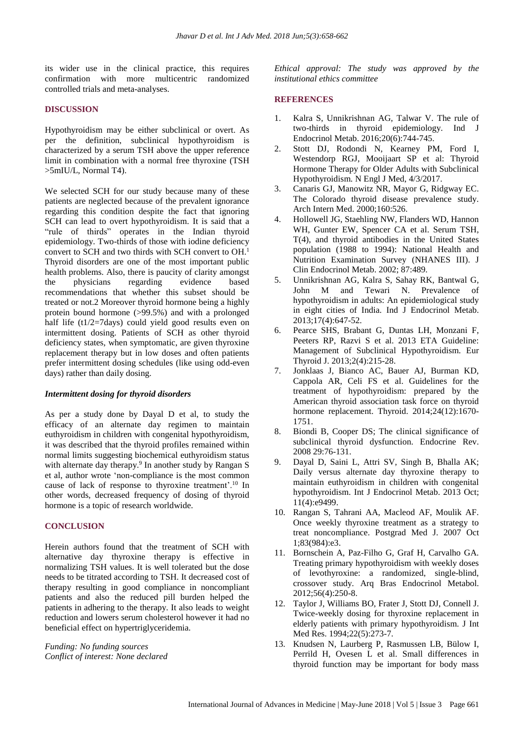its wider use in the clinical practice, this requires confirmation with more multicentric randomized controlled trials and meta-analyses.

## **DISCUSSION**

Hypothyroidism may be either subclinical or overt. As per the definition, subclinical hypothyroidism is characterized by a serum TSH above the upper reference limit in combination with a normal free thyroxine (TSH >5mIU/L, Normal T4).

We selected SCH for our study because many of these patients are neglected because of the prevalent ignorance regarding this condition despite the fact that ignoring SCH can lead to overt hypothyroidism. It is said that a "rule of thirds" operates in the Indian thyroid epidemiology. Two-thirds of those with iodine deficiency convert to SCH and two thirds with SCH convert to OH. 1 Thyroid disorders are one of the most important public health problems. Also, there is paucity of clarity amongst the physicians regarding evidence based recommendations that whether this subset should be treated or not.2 Moreover thyroid hormone being a highly protein bound hormone (>99.5%) and with a prolonged half life (t1/2=7days) could yield good results even on intermittent dosing. Patients of SCH as other thyroid deficiency states, when symptomatic, are given thyroxine replacement therapy but in low doses and often patients prefer intermittent dosing schedules (like using odd-even days) rather than daily dosing.

#### *Intermittent dosing for thyroid disorders*

As per a study done by Dayal D et al, to study the efficacy of an alternate day regimen to maintain euthyroidism in children with congenital hypothyroidism, it was described that the thyroid profiles remained within normal limits suggesting biochemical euthyroidism status with alternate day therapy.<sup>9</sup> In another study by Rangan S et al, author wrote 'non-compliance is the most common cause of lack of response to thyroxine treatment'.<sup>10</sup> In other words, decreased frequency of dosing of thyroid hormone is a topic of research worldwide.

## **CONCLUSION**

Herein authors found that the treatment of SCH with alternative day thyroxine therapy is effective in normalizing TSH values. It is well tolerated but the dose needs to be titrated according to TSH. It decreased cost of therapy resulting in good compliance in noncompliant patients and also the reduced pill burden helped the patients in adhering to the therapy. It also leads to weight reduction and lowers serum cholesterol however it had no beneficial effect on hypertriglyceridemia.

*Funding: No funding sources Conflict of interest: None declared* *Ethical approval: The study was approved by the institutional ethics committee*

#### **REFERENCES**

- 1. Kalra S, Unnikrishnan AG, Talwar V. The rule of two-thirds in thyroid epidemiology. Ind J Endocrinol Metab. 2016;20(6):744-745.
- 2. Stott DJ, Rodondi N, Kearney PM, Ford I, Westendorp RGJ, Mooijaart SP et al: Thyroid Hormone Therapy for Older Adults with Subclinical Hypothyroidism. N Engl J Med, 4/3/2017.
- 3. Canaris GJ, Manowitz NR, Mayor G, Ridgway EC. The Colorado thyroid disease prevalence study. Arch Intern Med. 2000;160:526.
- 4. Hollowell JG, Staehling NW, Flanders WD, Hannon WH, Gunter EW, Spencer CA et al. Serum TSH, T(4), and thyroid antibodies in the United States population (1988 to 1994): National Health and Nutrition Examination Survey (NHANES III). J Clin Endocrinol Metab. 2002; 87:489.
- 5. Unnikrishnan AG, Kalra S, Sahay RK, Bantwal G, John M and Tewari N. Prevalence of hypothyroidism in adults: An epidemiological study in eight cities of India. Ind J Endocrinol Metab. 2013;17(4):647-52.
- 6. Pearce SHS, Brabant G, Duntas LH, Monzani F, Peeters RP, Razvi S et al. 2013 ETA Guideline: Management of Subclinical Hypothyroidism. Eur Thyroid J. 2013;2(4):215-28.
- 7. Jonklaas J, Bianco AC, Bauer AJ, Burman KD, Cappola AR, Celi FS et al. Guidelines for the treatment of hypothyroidism: prepared by the American thyroid association task force on thyroid hormone replacement. Thyroid. 2014;24(12):1670- 1751.
- 8. Biondi B, Cooper DS; The clinical significance of subclinical thyroid dysfunction. Endocrine Rev. 2008 29:76-131.
- 9. Dayal D, Saini L, Attri SV, Singh B, Bhalla AK; Daily versus alternate day thyroxine therapy to maintain euthyroidism in children with congenital hypothyroidism. Int J Endocrinol Metab. 2013 Oct; 11(4):e9499.
- 10. Rangan S, Tahrani AA, Macleod AF, Moulik AF. Once weekly thyroxine treatment as a strategy to treat noncompliance. Postgrad Med J. 2007 Oct 1;83(984):e3.
- 11. Bornschein A, Paz-Filho G, Graf H, Carvalho GA. Treating primary hypothyroidism with weekly doses of levothyroxine: a randomized, single-blind, crossover study. Arq Bras Endocrinol Metabol. 2012;56(4):250-8.
- 12. Taylor J, Williams BO, Frater J, Stott DJ, Connell J. Twice-weekly dosing for thyroxine replacement in elderly patients with primary hypothyroidism. J Int Med Res. 1994;22(5):273-7.
- 13. Knudsen N, Laurberg P, Rasmussen LB, Bülow I, Perrild H, Ovesen L et al. Small differences in thyroid function may be important for body mass